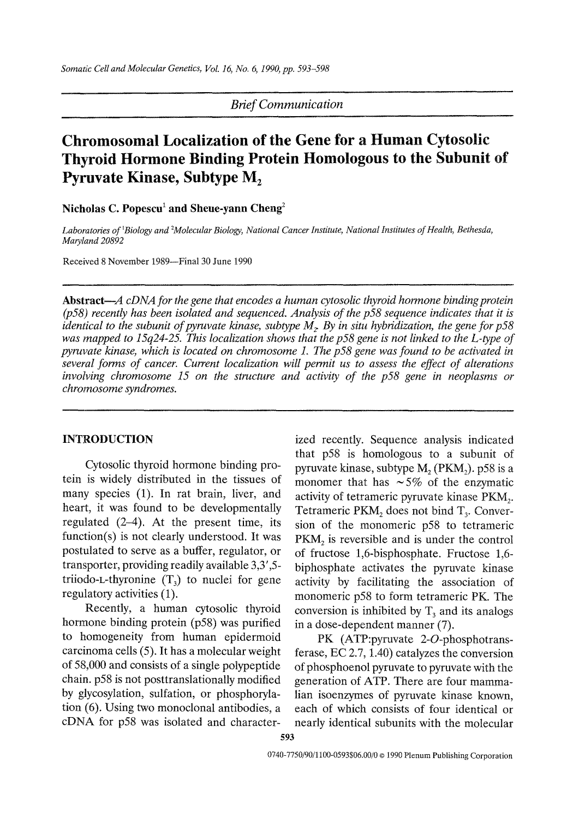*Brief Communication* 

# **Chromosomal Localization of the Gene for a Human Cytosolic Thyroid Hormone Binding Protein Homologous to the Subunit of Pyruvate Kinase, Subtype Mz**

Nicholas C. Popescu<sup>1</sup> and Sheue-yann Cheng<sup>2</sup>

*Laboratories of~Biology and ZMolecular Biology, National Cancer Institute, Nationat Institutes of Health, Bethesda, Maryland 20892* 

Received 8 November 1989- Final 30 June 1990

Abstract—A *cDNA* for the gene that encodes a human cytosolic thyroid hormone binding protein *(p58) recently has been isolated and sequenced. Analysis of the p58 sequence indicates that it is identical to the subunit of pyruvate kinase, subtype M<sub>2</sub>. By in situ hybridization, the gene for p58 was mapped to 15q24-25. This localization shows that the p58 gene is not linked to the L-type of pyruvate kinase, which is located on chromosome L The p58 gene was found to be activated in*  several forms of cancer. Current localization will permit us to assess the effect of alterations *involving chromosome 15 on the structure and activity of the p58 gene in neoplasms or chromosome syndromes.* 

### **INTRODUCTION**

Cytosolic thyroid hormone binding protein is widely distributed in the tissues of many species (1). In rat brain, liver, and heart, it was found to be developmentally regulated (2-4). At the present time, its function(s) is not clearly understood. It was postulated to serve as a buffer, regulator, or transporter, providing readily available 3,3',5 triiodo-L-thyronine  $(T_3)$  to nuclei for gene regulatory activities (1).

Recently, a human cytosolic thyroid hormone binding protein (p58) was purified to homogeneity from human epidermoid carcinoma cells (5). It has a molecular weight of 58,000 and consists of a single polypeptide chain, p58 is not posttranslationally modified by glycosylation, sulfation, or phosphorylation (6). Using two monoclonal antibodies, a cDNA for p58 was isolated and characterized recently. Sequence analysis indicated that p58 is homologous to a subunit of pyruvate kinase, subtype  $M<sub>2</sub>$  (PKM<sub>2</sub>). p58 is a monomer that has  $\sim 5\%$  of the enzymatic activity of tetrameric pyruvate kinase PKM<sub>1</sub>. Tetrameric PKM<sub>2</sub> does not bind  $T<sub>3</sub>$ . Conversion of the monomeric p58 to tetrameric  $PKM<sub>2</sub>$  is reversible and is under the control of fructose 1,6-bisphosphate. Fructose 1,6 biphosphate activates the pyruvate kinase activity by facilitating the association of monomeric p58 to form tetrameric PK. The conversion is inhibited by  $T<sub>3</sub>$  and its analogs in a dose-dependent manner (7).

PK (ATP:pyruvate 2-O-phosphotransferase, EC 2.7, 1.40) catalyzes the conversion of phosphoenol pyruvate to pyruvate with the generation of ATP. There are four mammalian isoenzymes of pyruvate kinase known, each of which consists of four identical or nearly identical subunits with the molecular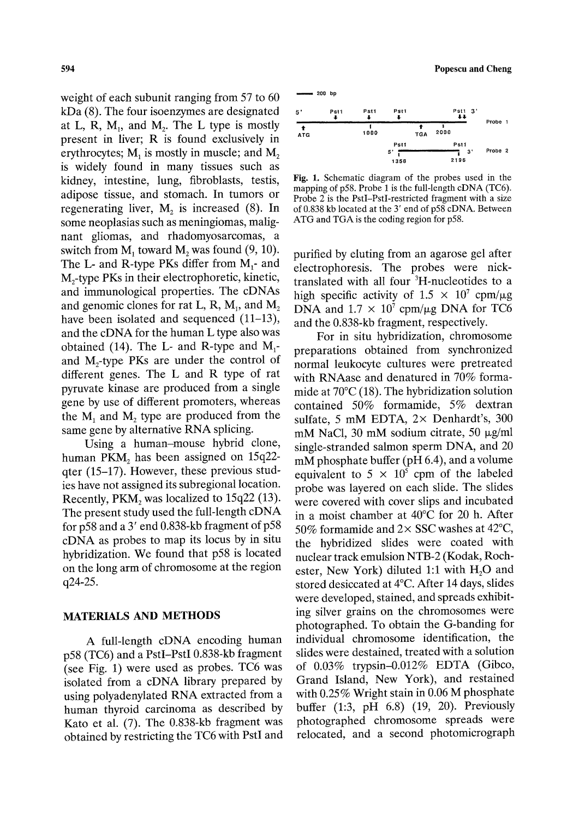weight of each subunit ranging from 57 to 60 kDa (8). The four isoenzymes are designated at L, R,  $M_1$ , and  $M_2$ . The L type is mostly present in liver; R is found exclusively in erythrocytes;  $M<sub>1</sub>$  is mostly in muscle; and  $M<sub>2</sub>$ is widely found in many tissues such as kidney, intestine, lung, fibroblasts, testis, adipose tissue, and stomach. In tumors or regenerating liver,  $M<sub>2</sub>$  is increased (8). In some neoplasias such as meningiomas, malignant gliomas, and rhadomyosarcomas, a switch from M<sub>1</sub> toward M<sub>2</sub> was found  $(9, 10)$ . The L- and R-type PKs differ from M<sub>1</sub>- and M<sub>2</sub>-type PKs in their electrophoretic, kinetic, and immunological properties. The cDNAs and genomic clones for rat  $L$ ,  $R$ ,  $M_1$ , and  $M_2$ have been isolated and sequenced (11-13), and the cDNA for the human L type also was obtained (14). The L- and R-type and  $M_1$ and M<sub>2</sub>-type PKs are under the control of different genes. The L and R type of rat pyruvate kinase are produced from a single gene by use of different promoters, whereas the  $M_1$  and  $M_2$  type are produced from the same gene by alternative RNA splicing.

Using a human-mouse hybrid clone, human PKM, has been assigned on  $15q22$ qter (15-17). However, these previous studies have not assigned its subregional location. Recently, PKM<sub>2</sub> was localized to 15q22 (13). The present study used the full-length cDNA for p58 and a 3' end 0.838-kb fragment of p58 cDNA as probes to map its locus by in situ hybridization. We found that p58 is located on the long arm of chromosome at the region @4-25.

## **MATERIALS AND METHODS**

A full-length cDNA encoding human p58 (TC6) and a PstI-PstI 0.838-kb fragment (see Fig. 1) were used as probes. TC6 was isolated from a cDNA library prepared by using polyadenylated RNA extracted from a human thyroid carcinoma as described by Kato et al. (7). The 0.838-kb fragment was obtained by restricting the TC6 with PstI and





Fig. 1. Schematic diagram of the probes used in the mapping of p58. Probe 1 is the full-length cDNA (TC6). Probe 2 is the PstI-PstI-restricted fragment with a size of 0.838 kb located at the 3' end of p58 cDNA. Between ATG and TGA is the coding region for p58.

purified by eluting from an agarose gel after electrophoresis. The probes were nicktranslated with all four  ${}^{3}H$ -nucleotides to a high specific activity of  $1.5 \times 10^7$  cpm/ $\mu$ g DNA and  $1.7 \times 10^7$  cpm/ $\mu$ g DNA for TC6 and the 0.838-kb fragment, respectively.

For in situ hybridization, chromosome preparations obtained from synchronized normal leukocyte cultures were pretreated with RNAase and denatured in 70% formamide at 70°C (18). The hybridization solution contained 50% formamide, 5% dextran sulfate, 5 mM EDTA,  $2 \times$  Denhardt's, 300 mM NaCl, 30 mM sodium citrate, 50  $\mu$ g/ml single-stranded salmon sperm DNA, and 20 mM phosphate buffer (pH 6.4), and a volume equivalent to  $5 \times 10^5$  cpm of the labeled probe was layered on each slide. The slides were covered with cover slips and incubated in a moist chamber at 40°C for 20 h. After 50% formamide and  $2 \times$  SSC washes at 42°C, the hybridized slides were coated with nuclear track emulsion NTB-2 (Kodak, Rochester, New York) diluted 1:1 with  $H_2O$  and stored desiccated at 4°C. After 14 days, slides were developed, stained, and spreads exhibiting silver grains on the chromosomes were photographed. To obtain the G-banding for individual chromosome identification, the slides were destained, treated with a solution of 0.03% trypsin-0.012% EDTA (Gibco, Grand Island, New York), and restained with 0.25% Wright stain in 0.06 M phosphate buffer (1:3, pH 6.8) (19, 20). Previously photographed chromosome spreads were relocated, and a second photomicrograph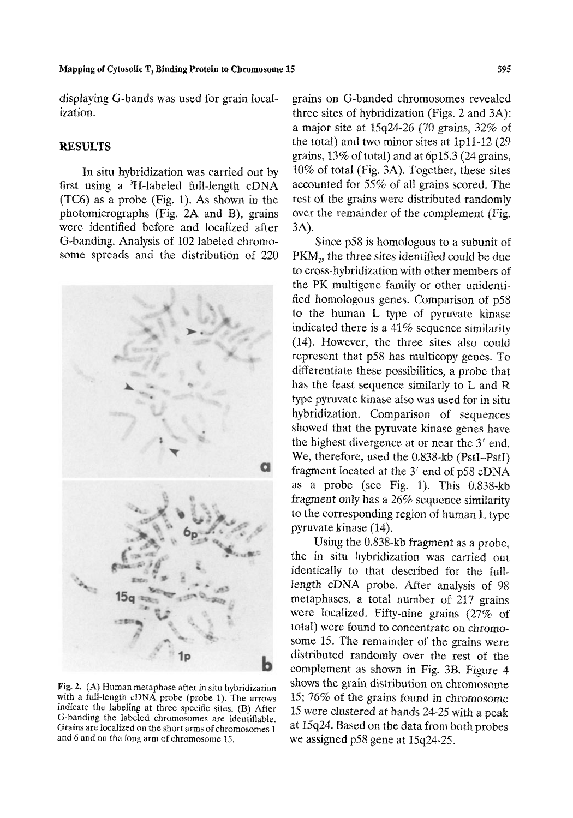#### **Mapping of Cytosolic T~ Binding Protein to Chromosome 15 595**

displaying G-bands was used for grain localization.

## RESULTS

In situ hybridization was carried out by first using a  ${}^{3}$ H-labeled full-length cDNA (TC6) as a probe (Fig. 1). As shown in the photomicrographs (Fig. 2A and B), grains were identified before and localized after G-banding. Analysis of 102 labeled chromosome spreads and the distribution of 220



**Fig.** 2. (A) Human metaphase after in situ hybridization with a full-length cDNA probe (probe 1). The arrows indicate the labeling at three specific sites. (B) After G-banding the labeled chromosomes are identifiable. Grains are localized on the short arms of chromosomes 1 and 6 and on the long arm of chromosome 15.

grains on G-banded chromosomes revealed three sites of hybridization (Figs. 2 and 3A): a major site at  $15q24-26$  (70 grains,  $32\%$  of the total) and two minor sites at lp11-12 (29 grains, 13% of total) and at 6p15.3 (24 grains, 10% of total (Fig. 3A). Together, these sites accounted for 55% of all grains scored. The rest of the grains were distributed randomly over the remainder of the complement (Fig. 3A).

Since p58 is homologous to a subunit of PKM<sub>2</sub>, the three sites identified could be due to cross-hybridization with other members of the PK multigene family or other unidentified homologous genes. Comparison of p58 to the human L type of pyruvate kinase indicated there is a 41% sequence similarity (14). However, the three sites also could represent that p58 has multicopy genes. To differentiate these possibilities, a probe that has the least sequence similarly to L and R type pyruvate kinase also was used for in situ hybridization. Comparison of sequences showed that the pyruvate kinase genes have the highest divergence at or near the 3' end. We, therefore, used the 0.838-kb (PstI-PstI) fragment located at the 3' end of p58 cDNA as a probe (see Fig. 1). This 0.838-kb fragment only has a 26% sequence similarity to the corresponding region of human L type pyruvate kinase (14).

Using the 0.838-kb fragment as a probe, the in situ hybridization was carried out identically to that described for the fulllength cDNA probe. After analysis of 98 metaphases, a total number of 217 grains were localized. Fifty-nine grains (27% of total) were found to concentrate on chromosome 15. The remainder of the grains were distributed randomly over the rest of the complement as shown in Fig. 3B. Figure 4 shows the grain distribution on chromosome 15; 76% of the grains found in chromosome 15 were clustered at bands 24-25 with a peak at 15q24. Based on the data from both probes we assigned p58 gene at 15q24-25.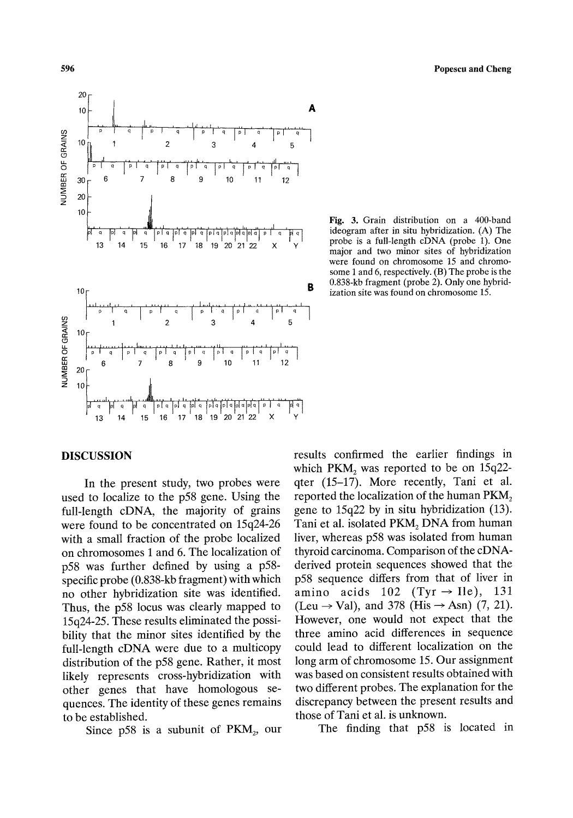

Fig. 3. Grain distribution on a 400-band ideogram after in situ hybridization. (A) The probe is a full-length cDNA (probe 1). One major and two minor sites of hybridization were found on chromosome 15 and chromosome 1 and 6, respectively. (B) The probe is the 0.838-kb fragment (probe 2). Only one hybridization site was found on chromosome 15.

## **DISCUSSION**

In the present study, two probes were used to localize to the p58 gene. Using the full-length cDNA, the majority of grains were found to be concentrated on 15q24-26 with a small fraction of the probe localized on chromosomes 1 and 6. The localization of p58 was further defined by using a p58 specific probe (0.838-kb fragment) with which no other hybridization site was identified. Thus, the p58 locus was clearly mapped to t5@4o25. These results eliminated the possibility that the minor sites identified by the full-length cDNA were due to a multicopy distribution of the p58 gene. Rather, it most likely represents cross-hybridization with other genes that have homologous sequences. The identity of these genes remains to be established.

Since  $p58$  is a subunit of  $PKM<sub>2</sub>$ , our

results confirmed the earlier findings in which PKM, was reported to be on  $15q22$ qter (15-17). More recently, Tani et al. reported the localization of the human PKM, gene to  $15q22$  by in situ hybridization  $(13)$ . Tani et al. isolated PKM, DNA from human liver, whereas p58 was isolated from human thyroid carcinoma. Comparison of the cDNAderived protein sequences showed that the p58 sequence differs from that of liver in amino acids 102 (Tyr  $\rightarrow$  Ile), 131 (Leu  $\rightarrow$  Val), and 378 (His  $\rightarrow$  Asn) (7, 21). However, one would not expect that the three amino acid differences in sequence could lead to different localization on the long arm of chromosome 15. Our assignment was based on consistent results obtained with two different probes. The explanation for the discrepancy between the present results and those of Tani et al. is unknown.

The finding that p58 is located in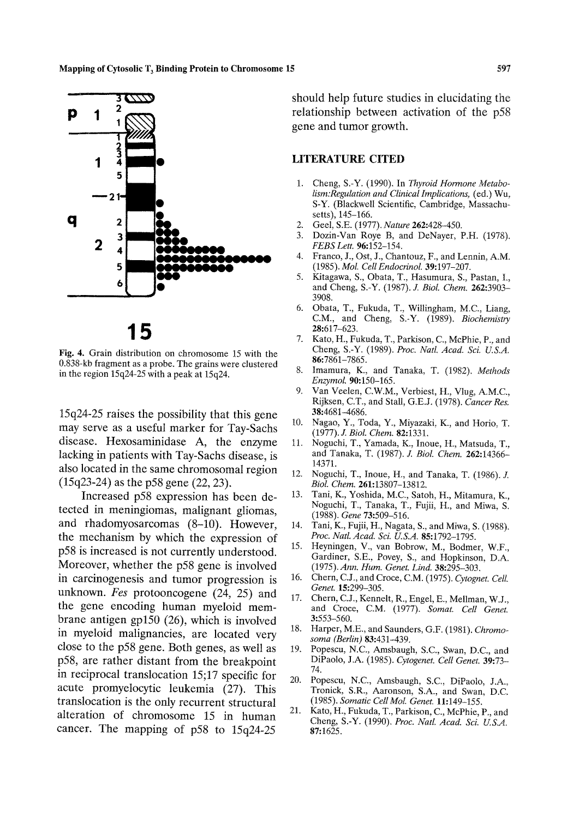

**15** 

Fig. 4. Grain distribution on chromosome 15 with the 0.838-kb fiagment as a probe. The grains were clustered in the region 15q24-25 with a peak at 15q24.

15q24-25 raises the possibility that this gene may serve as a useful marker for Tay-Sachs disease. Hexosaminidase A, the enzyme lacking in patients with Tay-Sachs disease, is also located in the same chromosomal region (15@3-24) as the p58 gene (22, 23).

Increased p58 expression has been detected in meningiomas, malignant gliomas, and rhadomyosarcomas (8-10). However, the mechanism by which the expression of p58 is increased is not currently understood. Moreover, whether the p58 gene is involved in carcinogenesis and tumor progression is unknown. *Fes* protooncogene (24, 25) and the gene encoding human myeloid membrane antigen gpl50 (26), which is involved in myeloid malignancies, are located very close to the p58 gene. Both genes, as well as p58, are rather distant from the breakpoint in reciprocal translocation 15;17 specific for acute promyelocytic leukemia (27). This translocation is the only recurrent structural alteration of chromosome 15 in human cancer. The mapping of p58 to 15q24-25

should help future studies in elucidating the relationship between activation of the p58 gene and tumor growth.

## **LITERATURE CITED**

- 1. Cheng, S.-Y. (1990). In *Thyroid Hormone Metabolism:Regulation and Clinical Implications,* (ed.) Wu, S-Y. (Blackwell Scientific, Cambridge, Massachusetts), 145-166.
- 2. Geel, S.E. (1977). Nature 262:428-450.<br>3. Dozin-Van Roye B. and DeNayer. 1
- 3. Dozin-Van Roye B, and DeNayer, P.H. (I978). *FEBS Lett.* 96:152-154.
- 4. Franco, J., Ost, J., Chantouz, F., and Lennin, A.M. (1985). *Mol. Cell EndocrinoL* 39:197-207.
- 5. Kitagawa, S., Obata, T., Hasumura, S., Pastan, I., and Cheng, S.-Y. (1987). Z *Biol. Chem.* 262:3903- 3908.
- 6. Obata, T., Fukuda, T., Willingham, M.C., Liang, C.M., and Cheng, S.-Y. (1989), *Biochemistry*  28:617-623.
- 7. Kato, H., Fukuda, T., Parkison, C., McPhie, P., and Cheng, S.-Y. (1989). *Proc. Natl. Acad. Sci. U.S.A.*  86:7861-7865.
- 8. Imamura, K., and Tanaka, T. (1982). *Methods Enzymol.* 90:150-165.
- 9. Van Veelen, C.W.M., Verbiest, H., Vlug, A.M.C., Rijksen, C.T., and Stall, G.E.J. (1978). *Cancer Res.* 38:4681-4686.
- 10. Nagao, Y., Toda, Y., Miyazaki, K., and Horio, T. (1977). *J. Biol. Chem.* 82:1331.
- 11. Noguchi, T., Yamada, K., Inoue, H., Matsuda, T., and Tanaka, T. (1987). Z *Biol. Chem.* 262:14366- 14371.
- 12. Noguchi, T., Inoue, H, and Tanaka, T. (1986). J. *Biol. Chem.* 261:13807-13812,
- 13. Tani, K., Yoshida, M.C., Satoh, H., Mitamura, K., Noguchi, T., Tanaka, T., Fujii, H., and Miwa, S. (1988). *Gene* 73:509-516.
- 14. Tani, K., Fujii, H., Nagata, S., and Miwa, S. (1988). *Proc. Natl. Acad. ScL U.S.A.* 85:1792-1795.
- 15. Heyningen, V., van Bobrow, M., Bodmer, W.F., Gardiner, S.E., Povey, S., and Hopkinson, D.A. (1975). *Ann. Hum. Genet. Lind.* 38:295-303.
- 16. Chern, C.J., and Croce, C.M. (1975). *Cytognet. Cell. Genet.* 15:299-305.
- 17. Chern, C.J., Kennelt, R., Engel, E., Mellman, W.J., and Croce, C.M. (1977). *Somat. Cell Genet.*  3:553-560.
- 18. Harper, M.E., and Saunders, G.F. (1981). *Chromosoma (Berlin)* 83:431-439.
- 19. Popescu, N.C., Amsbaugh, S.C., Swan, D.C, and DiPaolo, J.A. (1985). *Cytogenet. Cell Genet.* 39:73- 74.
- 20. Popescu, N.C., Amsbaugh, S.C., DiPaolo, J.A., Tronick, S.R., Aaronson, S.A., and Swan, D.C. (1985). *Somatic Cetl Mol. Genet.* 11:149-155.
- 21. Kato, H., Fukuda, T., Parkison, C., McPhie, P., and Cheng, S.-Y. (1990). *Proc. Natl. Acad. Sci. U.S.A.*  87:1625.